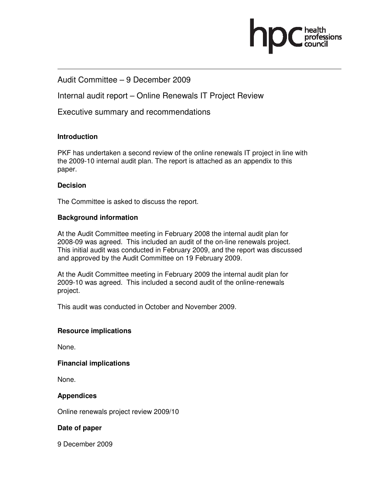

#### Audit Committee – 9 December 2009

Internal audit report – Online Renewals IT Project Review

Executive summary and recommendations

#### **Introduction**

PKF has undertaken a second review of the online renewals IT project in line with the 2009-10 internal audit plan. The report is attached as an appendix to this paper.

#### **Decision**

The Committee is asked to discuss the report.

#### **Background information**

At the Audit Committee meeting in February 2008 the internal audit plan for 2008-09 was agreed. This included an audit of the on-line renewals project. This initial audit was conducted in February 2009, and the report was discussed and approved by the Audit Committee on 19 February 2009.

At the Audit Committee meeting in February 2009 the internal audit plan for 2009-10 was agreed. This included a second audit of the online-renewals project.

This audit was conducted in October and November 2009.

#### **Resource implications**

None.

#### **Financial implications**

None.

#### **Appendices**

Online renewals project review 2009/10

#### **Date of paper**

9 December 2009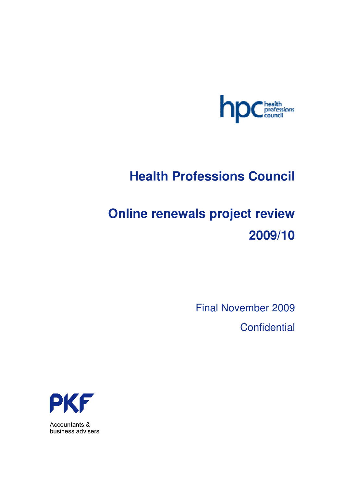

## **Health Professions Council**

# **Online renewals project review 2009/10**

Final November 2009 **Confidential** 



Accountants & business advisers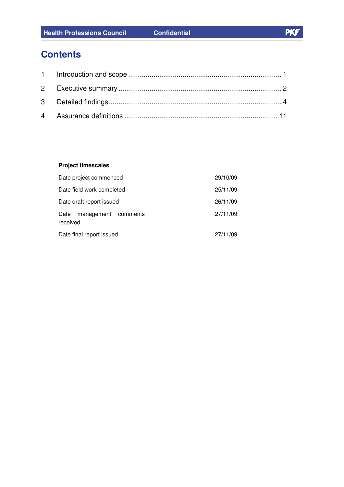## **Contents**

#### **Project timescales**

| Date project commenced                  | 29/10/09 |
|-----------------------------------------|----------|
| Date field work completed               | 25/11/09 |
| Date draft report issued                | 26/11/09 |
| Date<br>management comments<br>received | 27/11/09 |
| Date final report issued                | 27/11/09 |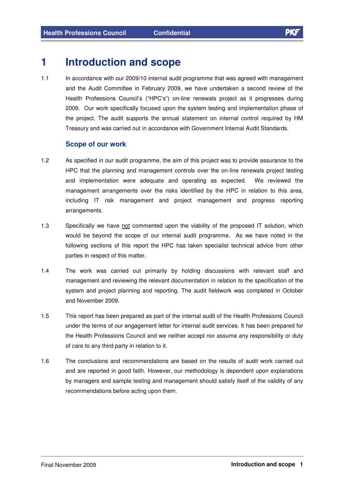## **1 Introduction and scope**

1.1 In accordance with our 2009/10 internal audit programme that was agreed with management and the Audit Committee in February 2009, we have undertaken a second review of the Health Professions Council's ("HPC's") on-line renewals project as it progresses during 2009. Our work specifically focused upon the system testing and implementation phase of the project. The audit supports the annual statement on internal control required by HM Treasury and was carried out in accordance with Government Internal Audit Standards.

#### **Scope of our work**

- 1.2 As specified in our audit programme, the aim of this project was to provide assurance to the HPC that the planning and management controls over the on-line renewals project testing and implementation were adequate and operating as expected. We reviewed the management arrangements over the risks identified by the HPC in relation to this area, including IT risk management and project management and progress reporting arrangements.
- 1.3 Specifically we have not commented upon the viability of the proposed IT solution, which would be beyond the scope of our internal audit programme. As we have noted in the following sections of this report the HPC has taken specialist technical advice from other parties in respect of this matter.
- 1.4 The work was carried out primarily by holding discussions with relevant staff and management and reviewing the relevant documentation in relation to the specification of the system and project planning and reporting. The audit fieldwork was completed in October and November 2009.
- 1.5 This report has been prepared as part of the internal audit of the Health Professions Council under the terms of our engagement letter for internal audit services. It has been prepared for the Health Professions Council and we neither accept nor assume any responsibility or duty of care to any third party in relation to it.
- 1.6 The conclusions and recommendations are based on the results of audit work carried out and are reported in good faith. However, our methodology is dependent upon explanations by managers and sample testing and management should satisfy itself of the validity of any recommendations before acting upon them.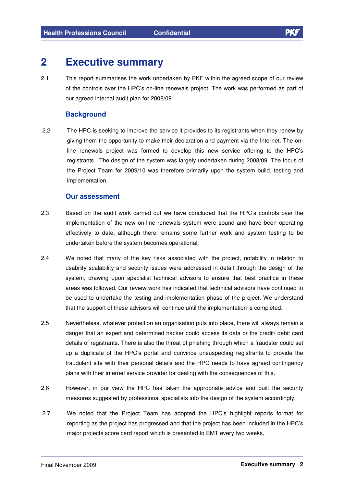## **2 Executive summary**

2.1 This report summarises the work undertaken by PKF within the agreed scope of our review of the controls over the HPC's on-line renewals project. The work was performed as part of our agreed internal audit plan for 2008/09.

#### **Background**

2.2 The HPC is seeking to improve the service it provides to its registrants when they renew by giving them the opportunity to make their declaration and payment via the Internet. The online renewals project was formed to develop this new service offering to the HPC's registrants. The design of the system was largely undertaken during 2008/09. The focus of the Project Team for 2009/10 was therefore primarily upon the system build, testing and implementation.

#### **Our assessment**

- 2.3 Based on the audit work carried out we have concluded that the HPC's controls over the implementation of the new on-line renewals system were sound and have been operating effectively to date, although there remains some further work and system testing to be undertaken before the system becomes operational.
- 2.4 We noted that many of the key risks associated with the project, notability in relation to usability scalability and security issues were addressed in detail through the design of the system, drawing upon specialist technical advisors to ensure that best practice in these areas was followed. Our review work has indicated that technical advisors have continued to be used to undertake the testing and implementation phase of the project. We understand that the support of these advisors will continue until the implementation is completed.
- 2.5 Nevertheless, whatever protection an organisation puts into place, there will always remain a danger that an expert and determined hacker could access its data or the credit/ debit card details of registrants. There is also the threat of phishing through which a fraudster could set up a duplicate of the HPC's portal and convince unsuspecting registrants to provide the fraudulent site with their personal details and the HPC needs to have agreed contingency plans with their internet service provider for dealing with the consequences of this.
- 2.6 However, in our view the HPC has taken the appropriate advice and built the security measures suggested by professional specialists into the design of the system accordingly.
- 2.7 We noted that the Project Team has adopted the HPC's highlight reports format for reporting as the project has progressed and that the project has been included in the HPC's major projects score card report which is presented to EMT every two weeks.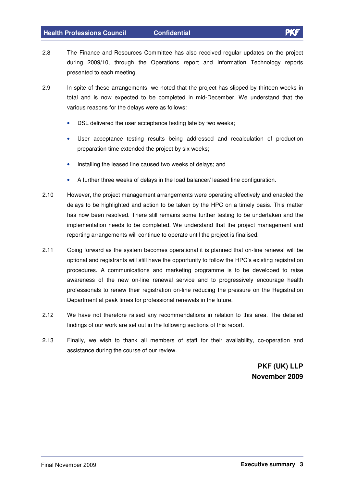- 2.8 The Finance and Resources Committee has also received regular updates on the project during 2009/10, through the Operations report and Information Technology reports presented to each meeting.
- 2.9 In spite of these arrangements, we noted that the project has slipped by thirteen weeks in total and is now expected to be completed in mid-December. We understand that the various reasons for the delays were as follows:
	- DSL delivered the user acceptance testing late by two weeks;
	- User acceptance testing results being addressed and recalculation of production preparation time extended the project by six weeks;
	- Installing the leased line caused two weeks of delays; and
	- A further three weeks of delays in the load balancer/ leased line configuration.
- 2.10 However, the project management arrangements were operating effectively and enabled the delays to be highlighted and action to be taken by the HPC on a timely basis. This matter has now been resolved. There still remains some further testing to be undertaken and the implementation needs to be completed. We understand that the project management and reporting arrangements will continue to operate until the project is finalised.
- 2.11 Going forward as the system becomes operational it is planned that on-line renewal will be optional and registrants will still have the opportunity to follow the HPC's existing registration procedures. A communications and marketing programme is to be developed to raise awareness of the new on-line renewal service and to progressively encourage health professionals to renew their registration on-line reducing the pressure on the Registration Department at peak times for professional renewals in the future.
- 2.12 We have not therefore raised any recommendations in relation to this area. The detailed findings of our work are set out in the following sections of this report.
- 2.13 Finally, we wish to thank all members of staff for their availability, co-operation and assistance during the course of our review.

**PKF (UK) LLP November 2009**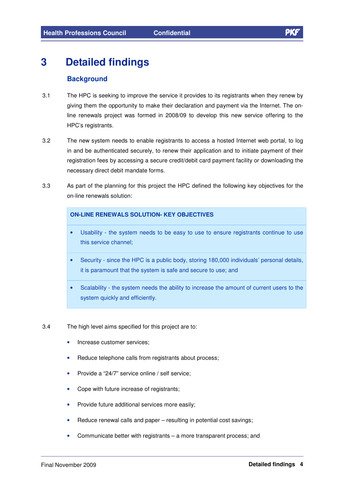## **3 Detailed findings**

#### **Background**

- 3.1 The HPC is seeking to improve the service it provides to its registrants when they renew by giving them the opportunity to make their declaration and payment via the Internet. The online renewals project was formed in 2008/09 to develop this new service offering to the HPC's registrants.
- 3.2 The new system needs to enable registrants to access a hosted Internet web portal, to log in and be authenticated securely, to renew their application and to initiate payment of their registration fees by accessing a secure credit/debit card payment facility or downloading the necessary direct debit mandate forms.
- 3.3 As part of the planning for this project the HPC defined the following key objectives for the on-line renewals solution:

#### **ON-LINE RENEWALS SOLUTION- KEY OBJECTIVES**

- Usability the system needs to be easy to use to ensure registrants continue to use this service channel;
- Security since the HPC is a public body, storing 180,000 individuals' personal details, it is paramount that the system is safe and secure to use; and
- Scalability the system needs the ability to increase the amount of current users to the system quickly and efficiently.
- 3.4 The high level aims specified for this project are to:
	- Increase customer services;
	- Reduce telephone calls from registrants about process;
	- Provide a "24/7" service online / self service;
	- Cope with future increase of registrants;
	- Provide future additional services more easily;
	- Reduce renewal calls and paper resulting in potential cost savings;
	- Communicate better with registrants a more transparent process; and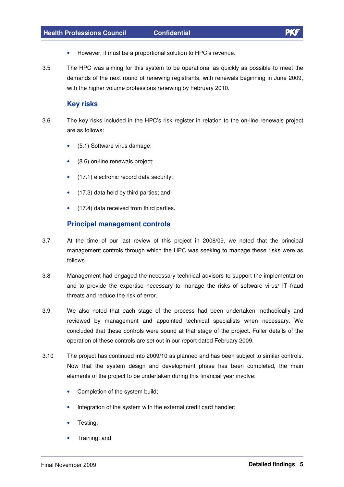- However, it must be a proportional solution to HPC's revenue.
- 3.5 The HPC was aiming for this system to be operational as quickly as possible to meet the demands of the next round of renewing registrants, with renewals beginning in June 2009, with the higher volume professions renewing by February 2010.

#### **Key risks**

- 3.6 The key risks included in the HPC's risk register in relation to the on-line renewals project are as follows:
	- (5.1) Software virus damage;
	- (8.6) on-line renewals project;
	- (17.1) electronic record data security;
	- (17.3) data held by third parties; and
	- (17.4) data received from third parties.

#### **Principal management controls**

- 3.7 At the time of our last review of this project in 2008/09, we noted that the principal management controls through which the HPC was seeking to manage these risks were as follows.
- 3.8 Management had engaged the necessary technical advisors to support the implementation and to provide the expertise necessary to manage the risks of software virus/ IT fraud threats and reduce the risk of error.
- 3.9 We also noted that each stage of the process had been undertaken methodically and reviewed by management and appointed technical specialists when necessary. We concluded that these controls were sound at that stage of the project. Fuller details of the operation of these controls are set out in our report dated February 2009.
- 3.10 The project has continued into 2009/10 as planned and has been subject to similar controls. Now that the system design and development phase has been completed, the main elements of the project to be undertaken during this financial year involve:
	- Completion of the system build;
	- Integration of the system with the external credit card handler;
	- Testing:
	- Training; and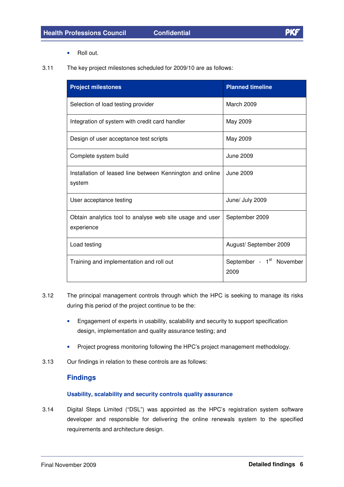Roll out.

3.11 The key project milestones scheduled for 2009/10 are as follows:

| <b>Project milestones</b>                                              | <b>Planned timeline</b>                      |
|------------------------------------------------------------------------|----------------------------------------------|
| Selection of load testing provider                                     | March 2009                                   |
| Integration of system with credit card handler                         | May 2009                                     |
| Design of user acceptance test scripts                                 | May 2009                                     |
| Complete system build                                                  | June 2009                                    |
| Installation of leased line between Kennington and online<br>system    | June 2009                                    |
| User acceptance testing                                                | June/ July 2009                              |
| Obtain analytics tool to analyse web site usage and user<br>experience | September 2009                               |
| Load testing                                                           | August/ September 2009                       |
| Training and implementation and roll out                               | September - 1 <sup>st</sup> November<br>2009 |

- 3.12 The principal management controls through which the HPC is seeking to manage its risks during this period of the project continue to be the:
	- Engagement of experts in usability, scalability and security to support specification design, implementation and quality assurance testing; and
	- Project progress monitoring following the HPC's project management methodology.
- 3.13 Our findings in relation to these controls are as follows:

#### **Findings**

#### **Usability, scalability and security controls quality assurance**

3.14 Digital Steps Limited ("DSL") was appointed as the HPC's registration system software developer and responsible for delivering the online renewals system to the specified requirements and architecture design.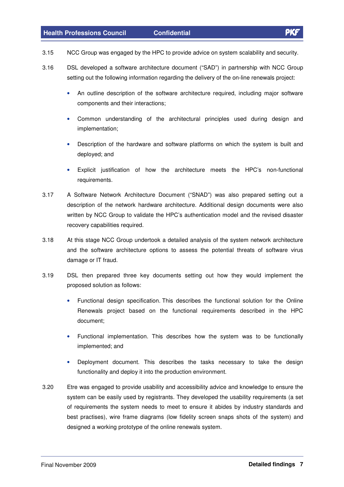- 3.15 NCC Group was engaged by the HPC to provide advice on system scalability and security.
- 3.16 DSL developed a software architecture document ("SAD") in partnership with NCC Group setting out the following information regarding the delivery of the on-line renewals project:
	- An outline description of the software architecture required, including major software components and their interactions;
	- Common understanding of the architectural principles used during design and implementation;
	- Description of the hardware and software platforms on which the system is built and deployed; and
	- Explicit justification of how the architecture meets the HPC's non-functional requirements.
- 3.17 A Software Network Architecture Document ("SNAD") was also prepared setting out a description of the network hardware architecture. Additional design documents were also written by NCC Group to validate the HPC's authentication model and the revised disaster recovery capabilities required.
- 3.18 At this stage NCC Group undertook a detailed analysis of the system network architecture and the software architecture options to assess the potential threats of software virus damage or IT fraud.
- 3.19 DSL then prepared three key documents setting out how they would implement the proposed solution as follows:
	- Functional design specification. This describes the functional solution for the Online Renewals project based on the functional requirements described in the HPC document;
	- Functional implementation. This describes how the system was to be functionally implemented; and
	- Deployment document. This describes the tasks necessary to take the design functionality and deploy it into the production environment.
- 3.20 Etre was engaged to provide usability and accessibility advice and knowledge to ensure the system can be easily used by registrants. They developed the usability requirements (a set of requirements the system needs to meet to ensure it abides by industry standards and best practises), wire frame diagrams (low fidelity screen snaps shots of the system) and designed a working prototype of the online renewals system.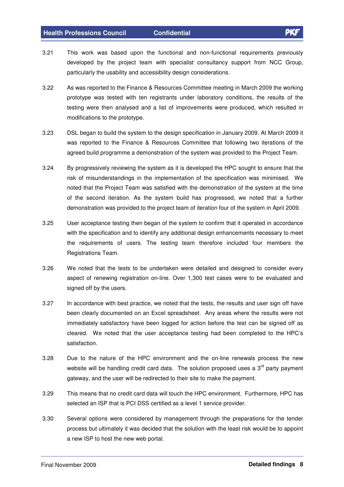- 3.21 This work was based upon the functional and non-functional requirements previously developed by the project team with specialist consultancy support from NCC Group, particularly the usability and accessibility design considerations.
- 3.22 As was reported to the Finance & Resources Committee meeting in March 2009 the working prototype was tested with ten registrants under laboratory conditions, the results of the testing were then analysed and a list of improvements were produced, which resulted in modifications to the prototype.
- 3.23 DSL began to build the system to the design specification in January 2009. At March 2009 it was reported to the Finance & Resources Committee that following two iterations of the agreed build programme a demonstration of the system was provided to the Project Team.
- 3.24 By progressively reviewing the system as it is developed the HPC sought to ensure that the risk of misunderstandings in the implementation of the specification was minimised. We noted that the Project Team was satisfied with the demonstration of the system at the time of the second iteration. As the system build has progressed, we noted that a further demonstration was provided to the project team of iteration four of the system in April 2009.
- 3.25 User acceptance testing then began of the system to confirm that it operated in accordance with the specification and to identify any additional design enhancements necessary to meet the requirements of users. The testing team therefore included four members the Registrations Team.
- 3.26 We noted that the tests to be undertaken were detailed and designed to consider every aspect of renewing registration on-line. Over 1,300 test cases were to be evaluated and signed off by the users.
- 3.27 In accordance with best practice, we noted that the tests, the results and user sign off have been clearly documented on an Excel spreadsheet. Any areas where the results were not immediately satisfactory have been logged for action before the test can be signed off as cleared. We noted that the user acceptance testing had been completed to the HPC's satisfaction.
- 3.28 Due to the nature of the HPC environment and the on-line renewals process the new website will be handling credit card data. The solution proposed uses a 3<sup>rd</sup> party payment gateway, and the user will be redirected to their site to make the payment.
- 3.29 This means that no credit card data will touch the HPC environment. Furthermore, HPC has selected an ISP that is PCI DSS certified as a level 1 service provider.
- 3.30 Several options were considered by management through the preparations for the tender process but ultimately it was decided that the solution with the least risk would be to appoint a new ISP to host the new web portal.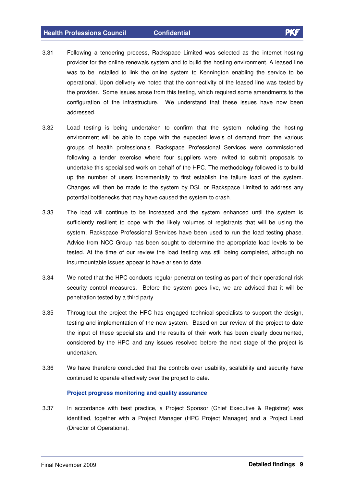- 3.31 Following a tendering process, Rackspace Limited was selected as the internet hosting provider for the online renewals system and to build the hosting environment. A leased line was to be installed to link the online system to Kennington enabling the service to be operational. Upon delivery we noted that the connectivity of the leased line was tested by the provider. Some issues arose from this testing, which required some amendments to the configuration of the infrastructure. We understand that these issues have now been addressed.
- 3.32 Load testing is being undertaken to confirm that the system including the hosting environment will be able to cope with the expected levels of demand from the various groups of health professionals. Rackspace Professional Services were commissioned following a tender exercise where four suppliers were invited to submit proposals to undertake this specialised work on behalf of the HPC. The methodology followed is to build up the number of users incrementally to first establish the failure load of the system. Changes will then be made to the system by DSL or Rackspace Limited to address any potential bottlenecks that may have caused the system to crash.
- 3.33 The load will continue to be increased and the system enhanced until the system is sufficiently resilient to cope with the likely volumes of registrants that will be using the system. Rackspace Professional Services have been used to run the load testing phase. Advice from NCC Group has been sought to determine the appropriate load levels to be tested. At the time of our review the load testing was still being completed, although no insurmountable issues appear to have arisen to date.
- 3.34 We noted that the HPC conducts regular penetration testing as part of their operational risk security control measures. Before the system goes live, we are advised that it will be penetration tested by a third party
- 3.35 Throughout the project the HPC has engaged technical specialists to support the design, testing and implementation of the new system. Based on our review of the project to date the input of these specialists and the results of their work has been clearly documented, considered by the HPC and any issues resolved before the next stage of the project is undertaken.
- 3.36 We have therefore concluded that the controls over usability, scalability and security have continued to operate effectively over the project to date.

#### **Project progress monitoring and quality assurance**

3.37 In accordance with best practice, a Project Sponsor (Chief Executive & Registrar) was identified, together with a Project Manager (HPC Project Manager) and a Project Lead (Director of Operations).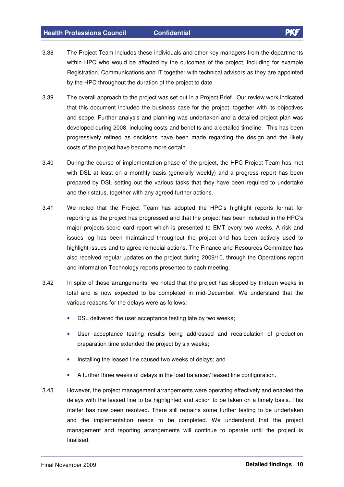- 3.38 The Project Team includes these individuals and other key managers from the departments within HPC who would be affected by the outcomes of the project, including for example Registration, Communications and IT together with technical advisors as they are appointed
- 3.39 The overall approach to the project was set out in a Project Brief. Our review work indicated that this document included the business case for the project, together with its objectives and scope. Further analysis and planning was undertaken and a detailed project plan was developed during 2008, including costs and benefits and a detailed timeline. This has been progressively refined as decisions have been made regarding the design and the likely costs of the project have become more certain.

by the HPC throughout the duration of the project to date.

- 3.40 During the course of implementation phase of the project, the HPC Project Team has met with DSL at least on a monthly basis (generally weekly) and a progress report has been prepared by DSL setting out the various tasks that they have been required to undertake and their status, together with any agreed further actions.
- 3.41 We noted that the Project Team has adopted the HPC's highlight reports format for reporting as the project has progressed and that the project has been included in the HPC's major projects score card report which is presented to EMT every two weeks. A risk and issues log has been maintained throughout the project and has been actively used to highlight issues and to agree remedial actions. The Finance and Resources Committee has also received regular updates on the project during 2009/10, through the Operations report and Information Technology reports presented to each meeting.
- 3.42 In spite of these arrangements, we noted that the project has slipped by thirteen weeks in total and is now expected to be completed in mid-December. We understand that the various reasons for the delays were as follows:
	- DSL delivered the user acceptance testing late by two weeks;
	- User acceptance testing results being addressed and recalculation of production preparation time extended the project by six weeks;
	- Installing the leased line caused two weeks of delays; and
	- A further three weeks of delays in the load balancer/ leased line configuration.
- 3.43 However, the project management arrangements were operating effectively and enabled the delays with the leased line to be highlighted and action to be taken on a timely basis. This matter has now been resolved. There still remains some further testing to be undertaken and the implementation needs to be completed. We understand that the project management and reporting arrangements will continue to operate until the project is finalised.